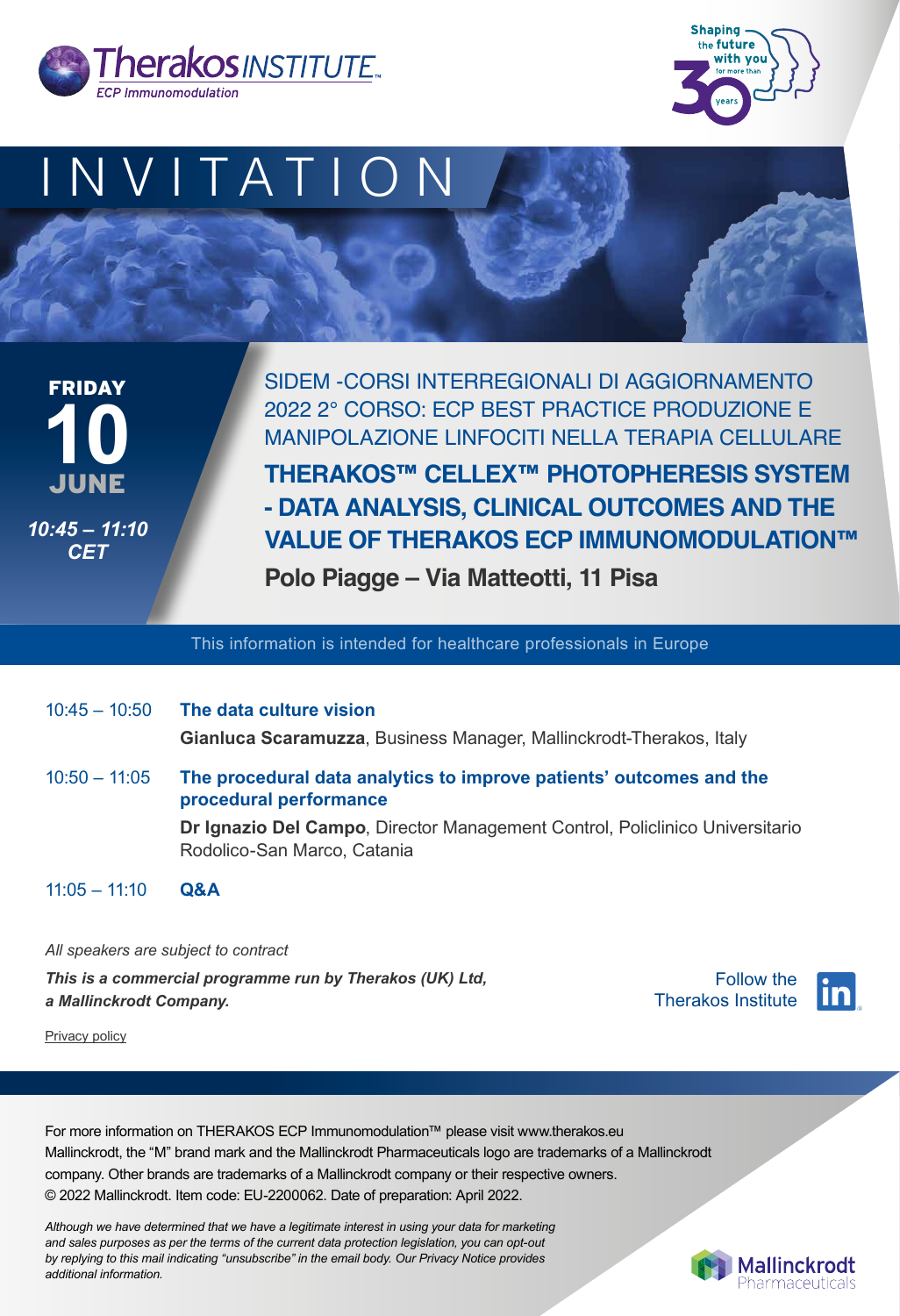|                 | $10:45 - 10:50$ The data culture vision<br>Gianluca Scaramuzza, Business Manager, Mallinckrodt-Therakos, Italy |
|-----------------|----------------------------------------------------------------------------------------------------------------|
| $10:50 - 11:05$ | The procedural data analytics to improve patients' outcomes and the<br>procedural performance                  |
|                 | Dr Ignazio Del Campo, Director Management Control, Policlinico Universitario<br>Rodolico-San Marco, Catania    |
| $11:05 - 11:10$ | <b>Q&amp;A</b>                                                                                                 |







SIDEM -CORSI INTERREGIONALI DI AGGIORNAMENTO 2022 2° CORSO: ECP BEST PRACTICE PRODUZIONE E MANIPOLAZIONE LINFOCITI NELLA TERAPIA CELLULARE

**THERAKOS™ CELLEX™ PHOTOPHERESIS SYSTEM - DATA ANALYSIS, CLINICAL OUTCOMES AND THE VALUE OF THERAKOS ECP IMMUNOMODULATION™** 

**Polo Piagge – Via Matteotti, 11 Pisa**

JUNE FRIDAY **10** *10:45 – 11:10 CET*

This information is intended for healthcare professionals in Europe

*Although we have determined that we have a legitimate interest in using your data for marketing and sales purposes as per the terms of the current data protection legislation, you can opt-out by replying to this mail indicating "unsubscribe" in the email body. Our Privacy Notice provides additional information.*



For more information on THERAKOS ECP Immunomodulation™ please visit www.therakos.eu Mallinckrodt, the "M" brand mark and the Mallinckrodt Pharmaceuticals logo are trademarks of a Mallinckrodt company. Other brands are trademarks of a Mallinckrodt company or their respective owners. © 2022 Mallinckrodt. Item code: EU-2200062. Date of preparation: April 2022.

*All speakers are subject to contract This is a commercial programme run by Therakos (UK) Ltd, a Mallinckrodt Company.*